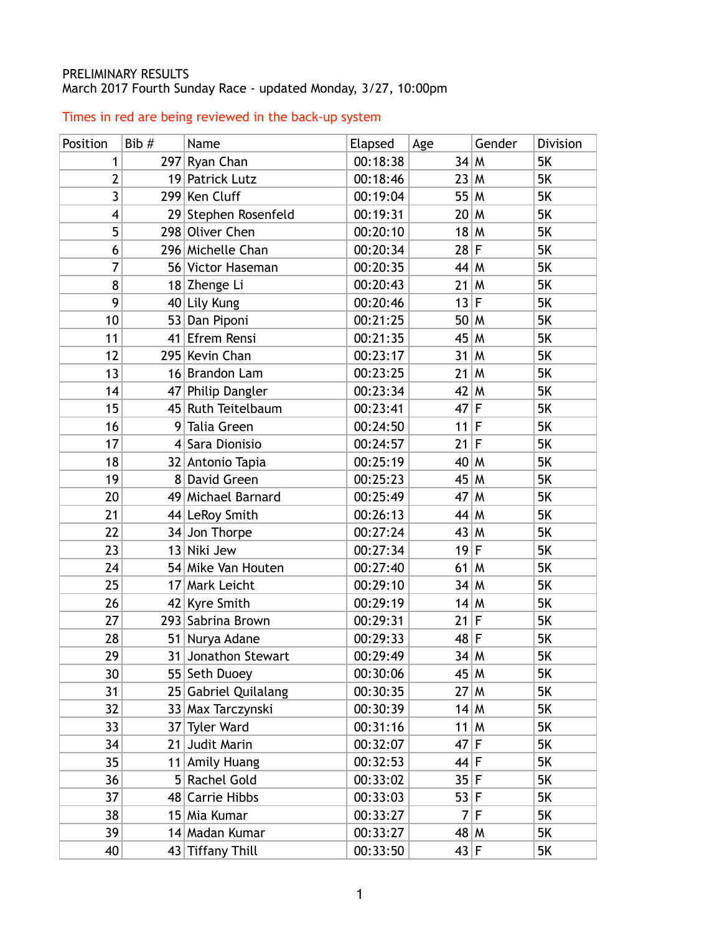## PRELIMINARY RESULTS March 2017 Fourth Sunday Race - updated Monday, 3/27, 10:00pm

## Times in red are being reviewed in the back-up system

| Position | Bib #          | Name                 | Elapsed  | Age    | Gender | Division  |
|----------|----------------|----------------------|----------|--------|--------|-----------|
| 1        |                | 297 Ryan Chan        | 00:18:38 | 34 M   |        | <b>5K</b> |
| 2        |                | 19 Patrick Lutz      | 00:18:46 | 23 M   |        | 5K        |
| 3        |                | 299 Ken Cluff        | 00:19:04 | 55 M   |        | 5K        |
| 4        |                | 29 Stephen Rosenfeld | 00:19:31 | 20 M   |        | 5K        |
| 5        |                | 298 Oliver Chen      | 00:20:10 | 18 M   |        | 5K        |
| 6        |                | 296 Michelle Chan    | 00:20:34 | $28$ F |        | 5K        |
| 7        |                | 56 Victor Haseman    | 00:20:35 | $44$ M |        | 5K        |
| 8        |                | 18 Zhenge Li         | 00:20:43 | $21$ M |        | 5K        |
| 9        |                | 40 Lily Kung         | 00:20:46 | 13 F   |        | 5K        |
| 10       |                | 53 Dan Piponi        | 00:21:25 | 50 M   |        | 5K        |
| 11       |                | 41 Efrem Rensi       | 00:21:35 | 45 M   |        | 5K        |
| 12       |                | 295 Kevin Chan       | 00:23:17 | $31$ M |        | 5K        |
| 13       |                | 16 Brandon Lam       | 00:23:25 | $21$ M |        | 5K        |
| 14       |                | 47 Philip Dangler    | 00:23:34 | $42$ M |        | 5K        |
| 15       |                | 45 Ruth Teitelbaum   | 00:23:41 | $47$ F |        | 5K        |
| 16       |                | 9 Talia Green        | 00:24:50 | $11$ F |        | 5K        |
| 17       |                | 4 Sara Dionisio      | 00:24:57 | $21$ F |        | 5K        |
| 18       |                | 32 Antonio Tapia     | 00:25:19 | $40$ M |        | 5K        |
| 19       |                | 8 David Green        | 00:25:23 | 45 M   |        | 5K        |
| 20       |                | 49 Michael Barnard   | 00:25:49 | 47 M   |        | 5K        |
| 21       |                | 44 LeRoy Smith       | 00:26:13 | $44$ M |        | 5K        |
| 22       |                | 34 Jon Thorpe        | 00:27:24 | 43 M   |        | 5K        |
| 23       |                | 13 Niki Jew          | 00:27:34 | $19$ F |        | 5K        |
| 24       |                | 54 Mike Van Houten   | 00:27:40 | $61$ M |        | 5K        |
| 25       |                | 17 Mark Leicht       | 00:29:10 | 34 M   |        | 5K        |
| 26       |                | 42 Kyre Smith        | 00:29:19 | 14 M   |        | 5K        |
| 27       |                | 293 Sabrina Brown    | 00:29:31 | 21 F   |        | 5K        |
| 28       |                | 51 Nurya Adane       | 00:29:33 | $48$ F |        | <b>5K</b> |
| 29       |                | 31 Jonathon Stewart  | 00:29:49 | 34 M   |        | 5K        |
| 30       |                | 55 Seth Duoey        | 00:30:06 | 45 M   |        | 5K        |
| 31       |                | 25 Gabriel Quilalang | 00:30:35 | 27 M   |        | 5K        |
| 32       |                | 33 Max Tarczynski    | 00:30:39 | 14 M   |        | 5K        |
| 33       |                | 37 Tyler Ward        | 00:31:16 | $11$ M |        | 5K        |
| 34       | 21             | Judit Marin          | 00:32:07 | $47$ F |        | 5K        |
| 35       | 11             | <b>Amily Huang</b>   | 00:32:53 | 44 F   |        | 5K        |
| 36       | 5 <sup>1</sup> | Rachel Gold          | 00:33:02 | 35 F   |        | 5K        |
| 37       |                | 48 Carrie Hibbs      | 00:33:03 | 53 F   |        | 5K        |
| 38       |                | 15 Mia Kumar         | 00:33:27 |        | 7 F    | 5K        |
| 39       |                | 14 Madan Kumar       | 00:33:27 | 48 M   |        | 5K        |
| 40       |                | 43 Tiffany Thill     | 00:33:50 | 43 F   |        | 5K        |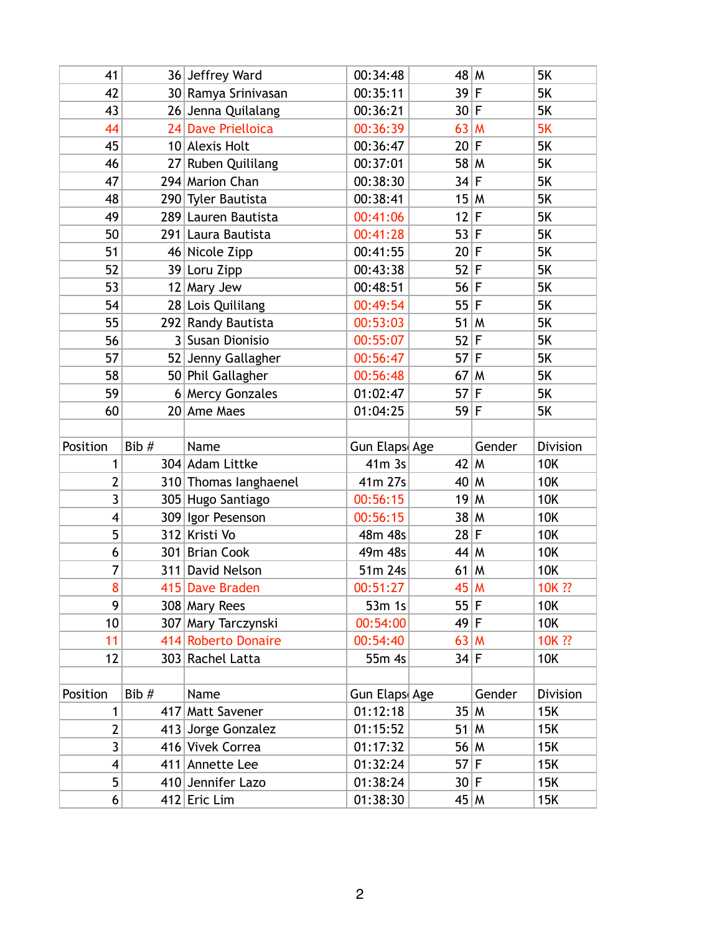| 41             |       | 36 Jeffrey Ward       | 00:34:48      | 48 M   |        | <b>5K</b>  |
|----------------|-------|-----------------------|---------------|--------|--------|------------|
| 42             |       | 30 Ramya Srinivasan   | 00:35:11      | 39 F   |        | 5K         |
| 43             |       | 26 Jenna Quilalang    | 00:36:21      | 30 F   |        | 5K         |
| 44             |       | 24 Dave Prielloica    | 00:36:39      | 63 M   |        | 5K         |
| 45             |       | 10 Alexis Holt        | 00:36:47      | 20 F   |        | 5K         |
| 46             |       | 27 Ruben Quililang    | 00:37:01      | $58$ M |        | 5K         |
| 47             |       | 294 Marion Chan       | 00:38:30      | 34 F   |        | 5K         |
| 48             |       | 290 Tyler Bautista    | 00:38:41      | 15 M   |        | 5K         |
| 49             |       | 289 Lauren Bautista   | 00:41:06      | 12 F   |        | 5K         |
| 50             |       | 291 Laura Bautista    | 00:41:28      | 53 F   |        | 5K         |
| 51             |       | 46 Nicole Zipp        | 00:41:55      | 20 F   |        | 5K         |
| 52             |       | 39 Loru Zipp          | 00:43:38      | $52$ F |        | 5K         |
| 53             |       | $12$ Mary Jew         | 00:48:51      | 56 F   |        | 5K         |
| 54             |       | 28 Lois Quililang     | 00:49:54      | 55 F   |        | 5K         |
| 55             |       | 292 Randy Bautista    | 00:53:03      | $51$ M |        | 5K         |
| 56             |       | 3 Susan Dionisio      | 00:55:07      | 52 F   |        | 5K         |
| 57             |       | 52 Jenny Gallagher    | 00:56:47      | $57$ F |        | 5K         |
| 58             |       | 50 Phil Gallagher     | 00:56:48      | $67$ M |        | 5K         |
| 59             |       | 6 Mercy Gonzales      | 01:02:47      | $57$ F |        | 5K         |
| 60             |       | 20 Ame Maes           | 01:04:25      | 59 F   |        | <b>5K</b>  |
|                |       |                       |               |        |        |            |
|                |       |                       |               |        |        |            |
| Position       | Bib # | Name                  | Gun Elaps Age |        | Gender | Division   |
| 1              |       | 304 Adam Littke       | $41m$ 3s      | $42$ M |        | <b>10K</b> |
| 2              |       | 310 Thomas langhaenel | 41m 27s       | $40$ M |        | 10K        |
| 3              |       | 305 Hugo Santiago     | 00:56:15      | 19 M   |        | <b>10K</b> |
| 4              |       | 309 Igor Pesenson     | 00:56:15      | 38 M   |        | <b>10K</b> |
| 5              |       | 312 Kristi Vo         | 48m 48s       | 28 F   |        | 10K        |
| 6              |       | 301 Brian Cook        | 49m 48s       | $44$ M |        | 10K        |
| 7              |       | 311 David Nelson      | 51m 24s       | $61$ M |        | <b>10K</b> |
| 8              |       | 415 Dave Braden       | 00:51:27      | 45 M   |        | 10K ??     |
| 9              |       | 308 Mary Rees         | 53m 1s        | 55 F   |        | 10K        |
| 10             |       | 307 Mary Tarczynski   | 00:54:00      | 49 F   |        | 10K        |
| 11             |       | 414 Roberto Donaire   | 00:54:40      | $63$ M |        | 10K ??     |
| 12             |       | 303 Rachel Latta      | 55m 4s        | 34 F   |        | 10K        |
|                |       |                       |               |        |        |            |
| Position       | Bib # | Name                  | Gun Elaps Age |        | Gender | Division   |
| 1              |       | 417 Matt Savener      | 01:12:18      | 35 M   |        | 15K        |
| $\overline{2}$ |       | 413 Jorge Gonzalez    | 01:15:52      | $51$ M |        | 15K        |
| $\overline{3}$ |       | 416 Vivek Correa      | 01:17:32      | 56 M   |        | 15K        |
| 4              |       | 411 Annette Lee       | 01:32:24      | $57$ F |        | 15K        |
| 5              |       | 410 Jennifer Lazo     | 01:38:24      | 30 F   |        | 15K        |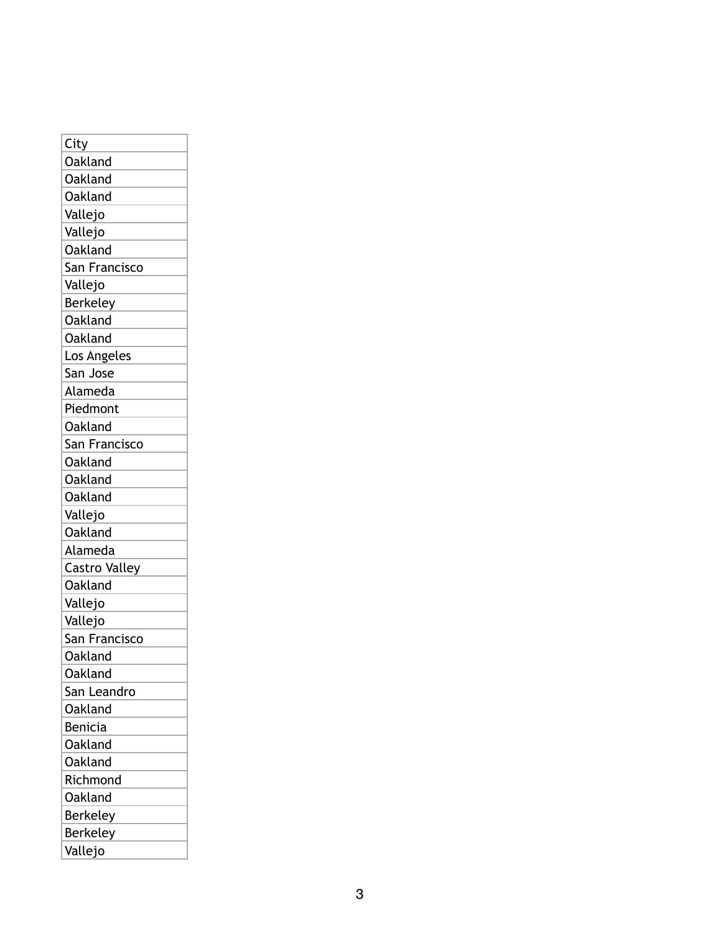| City                 |
|----------------------|
| <b>Oakland</b>       |
| Oakland              |
| Oakland              |
| Vallejo              |
| Vallejo              |
| <b>Oakland</b>       |
| San Francisco        |
| Vallejo              |
| Berkeley             |
| Oakland              |
| Oakland              |
| Los Angeles          |
| San Jose             |
| Alameda              |
| Piedmont             |
| Oakland              |
| San Francisco        |
| Oakland              |
| Oakland              |
| Oakland              |
| Vallejo              |
| Oakland              |
| Alameda              |
| <b>Castro Valley</b> |
| Oakland              |
| Vallejo              |
| Vallejo              |
| San Francisco        |
| Oakland              |
| Oakland              |
| San Leandro          |
| Oakland              |
| Benicia              |
| Oakland              |
| <b>Oakland</b>       |
| Richmond             |
| <b>Oakland</b>       |
| Berkeley             |
| <b>Berkeley</b>      |
| Vallejo              |